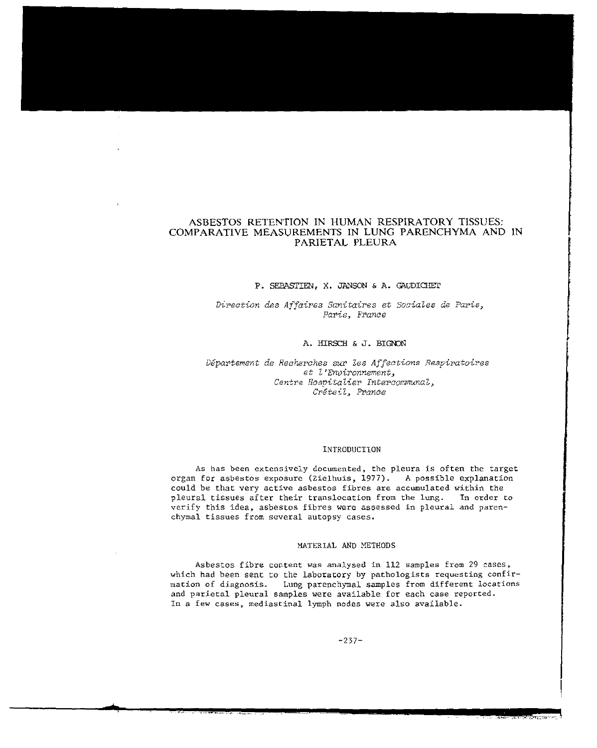# ASBESTOS RETENTION IN HUMAN RESPIRATORY TISSUES: COMPARATIVE MEASUREMENTS IN LUNG PARENCHYMA AND IN PARIETAL PLEURA

### P. SEBASTIEN, X. JANSON & A. GAUDICHET

Direction des Affaires Sanitaires et Sociales de Paris, Paris~ *France* 

## A. HIRSCH & J. BIGNON

*Depat'tement de Recherches* SUI' *Zes Affections Respiratoires*   $et$  *l'Environnement. Centre Hospitalier Intercommunal. Creteil> Prance* 

#### INTRODUCTION

As has been extensively documented, the pleura is often the target organ for asbestos exposure (Zielhuis, 1977). A possible explanation could be that very active asbestos fibres are accumulated within the<br>pleural tissues after their translocation from the lung. In order to pleural tissues after their translocation from the lung. verify this idea, asbestos fibres were assessed in pleural and parenchymal tissues from several autopsy cases.

### MATERIAL AND METHODS

Asbestos fibre content was analysed in 112 samples from 29 cases, which had been sent to the laboratory by pathologists requesting confirmation of diagnosis. Lung parenchymal samples from different locations and parietal pleural samples were available for each case reported. In a few cases, mediastinal lymph nodes were also available.

-237-

\*-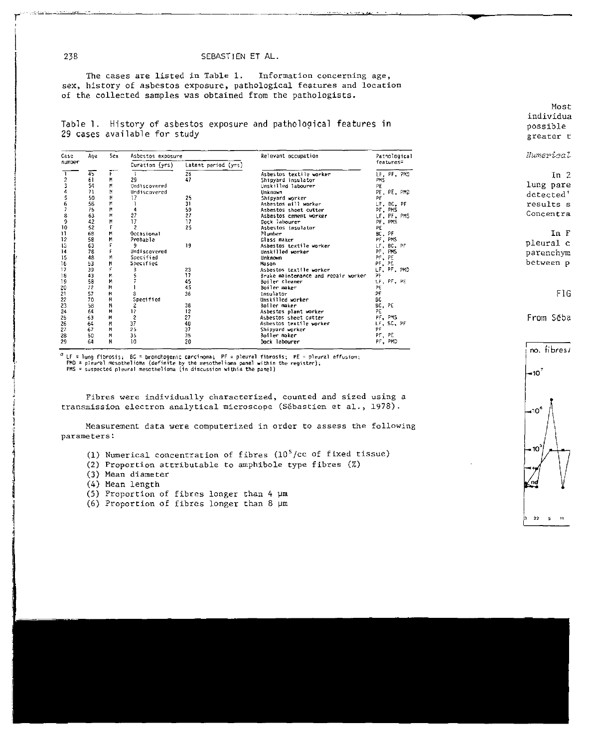### SEBASTIEN ET AL.

The cases are listed in Table 1. Information concerning age. sex, history of asbestos exposure, pathological features and location of the collected samples was obtained from the pathologists.

Table 1. History of asbestos exposure and pathological features in 29 cases available for study

| Case<br>number | Ace | Sex | Asbestos exposure   |                     | Relevant occupation                 | Pathological          |  |  |
|----------------|-----|-----|---------------------|---------------------|-------------------------------------|-----------------------|--|--|
|                |     |     | Duration (yrs)      | Latent period (yrs) |                                     | features <sup>e</sup> |  |  |
|                | 45  |     |                     | 26                  | Asbestos textile worker             | LF. PF. ?MJ           |  |  |
|                | 61  | M   | 29                  | 47                  | Shipyard insulator                  | PHS.                  |  |  |
|                | 54  | M   | Undiscovered        |                     | Unskilled labourer                  | PE                    |  |  |
|                | 71  | M   | Undiscovered        |                     | Unknown                             | PF. PE. PMD           |  |  |
| 234567         | 50  | м   | 17                  | 25                  | Shipyard worker                     | PF                    |  |  |
|                | 56  | м   |                     | 31                  | Asbestos mill worker                | LF, BC, PF            |  |  |
|                | 75  | М   | 4                   | 59                  | Asbestos sheet cutter               | PF. PMS               |  |  |
|                | 63  | м   | 27                  | 27                  | Asbestos cement worker              | LF. PF. PMS           |  |  |
| $\frac{3}{9}$  | 42  | M   | 17                  | 17                  | Dock labourer                       | PF, PMS               |  |  |
| 10             | 52  |     | $\mathfrak z$       | 25                  | Asbestos insulator                  | PE                    |  |  |
| Ħ              | 68  | M   | Occasional          |                     | Plumber                             | BC, PF                |  |  |
| 12             | 58  | м   | Probable            |                     | Glass maker                         | PT, PMS               |  |  |
| 13             | 63  |     | 9                   | 19                  | Asbestos textile worker             | LF, BC, PF            |  |  |
| 14             | 78  |     | <b>Undiscovered</b> |                     | Unskilled worker                    | PF, PMS               |  |  |
| 15             | 48  | M   | Specified           |                     | <b>Unknown</b>                      | PF, PE                |  |  |
| 16             | 53  | M   | Specified           |                     | Mason                               | PF, PE                |  |  |
| 17             | 39  | ç.  |                     | 23                  | Asbestos textile worker             | LF, PF, PMD           |  |  |
| 18             | 43  | Ν.  |                     | 17                  | Brake maintenance and repair worker | ЭF                    |  |  |
| 19             | 58  | м   |                     | 45                  | Boiler cleaner                      | LF, PF, PE            |  |  |
| Z0             | 72  | м   |                     | 45                  | Boiler maker                        | PE                    |  |  |
| 21             | 57  | м   |                     | 36                  | Insulator                           | PF                    |  |  |
| 22             | 70  | Μ   | Specified           |                     | Unskilled worker                    | 9C                    |  |  |
| 23             | 58  | м   | $\mathbf{z}$        | 38                  | Boiler maker                        | BC, PE                |  |  |
| 24             | 64  | м   | 12                  | 12                  | Asbestos plant worker               | PE                    |  |  |
| 25             | 63  | м   | $\overline{c}$      | 27                  | Asbestos sheet cutter               | PF PMS                |  |  |
| 26             | 64  | Μ   | 37                  | 40                  | Asbestos textile worker             | LF, SC, PF            |  |  |
| 27             | 67  | M   | 25                  | 37                  | Shipyard worker                     | PF                    |  |  |
| 28             | 50  | M   | 35                  | 35                  | Boiler maker                        | PF, PE                |  |  |
| 29             | 64  | M   | 10                  | 20                  | Dock labourer                       | PF, PMD               |  |  |

LF = lung fibrosis; BC = bronchogenic carcinoma; Pf = pleural fibrosis; PE = pleural effusion;<br>PMD = pleural mesothelioma (definite by the mesothelioma panel within the register);<br>PMS = suspected pleural mesothelioma (in d

Fibres were individually characterized, counted and sized using a transmission electron analytical microscope (Sébastien et al., 1978).

Measurement data were computerized in order to assess the following parameters:

(1) Numerical concentration of fibres  $(10^5/cc$  of fixed tissue)

- (2) Proportion attributable to amphibole type fibres (%)
- (3) Mean diameter
- (4) Mean length
- (5) Proportion of fibres longer than 4  $\mu$ m
- $(6)$  Proportion of fibres longer than 8  $\mu$ m

Most individua possible

greater t Numerical

In  $2$ lung pare detected' results s Concentra

In F pleural c parenchym between p

FIG.

From Séba

no. fibres/  $-10^7$ 

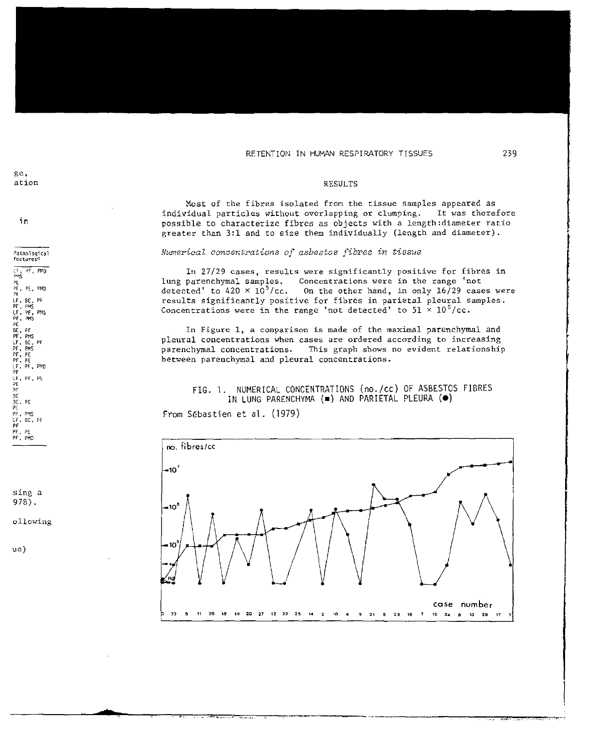gc, ation

in

Pathological features LF, PF, PMD<br>PMS  $P_{\rm E}$ pr, PE. PMD PF LF, PF, PMS<br>LF, PF, PMS<br>PF, PF, PMS<br>BC, PF, PMS<br>PF, PF, PE<br>PF, PF, PF, PU<br>PF, PF, PF, PL<br>LF, PF, PL PE<br>PF<br>BC 3C, P[  $P<sub>F</sub>$  PMS LF, BC, PF PF PF, PE PF. PHD

sing a 97B).

ollowing

**•** 

u e )

### RESULTS

Most of the fibres isolated from the tissue samples appeared as<br>vidual particles without overlapping or clumping. It was therefore individual particles without overlapping or clumping. possible to characterize fibres as objects with a length:diameter ratio greater than 3:1 and to size them individually (length and diameter).

## *Numerical concentrations of asbestos fibres in tissue*

In 27/29 cases, results were significantly positive for fibres in<br>lung parenchymal samples, Concentrations were in the range 'not Concentrations were in the range 'not detected' to 420  $\times$  10<sup>5</sup>/cc. On the other hand, in only 16/29 cases were results significantly positive for fibres in parietal pleural samples. Concentrations were in the range 'not detected' to  $51 \times 10^5$ /cc.

In Figure 1, a comparison is made of the maximal parenchymal and pleural concentrations when cases are ordered according to increaSing parenchymal concentrations. This graph shows no evident relationship between parenchymal and pleural concentrations.

# FIG. 1. NUMERICAL CONCENTRATIONS (no./cc) OF ASBESTOS FIBRES IN LUNG PARENCHYMA  $($  $\blacksquare$ ) AND PARIETAL PLEURA  $($ <sup> $\lozenge$ </sup>)

From Sebastien et a1. (1979)

; .. • .,;:Z:,, \_\_\_\_ •.•.•••• \_.h

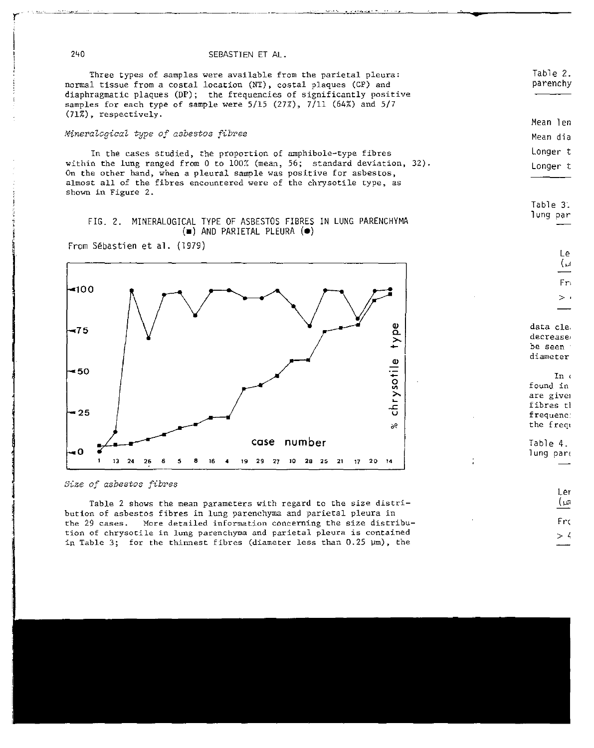240 SEBASTIEN ET AL.

Three types of samples were available from the parietal pleura: normal tissue from a costal location (NT), costal plaques (CP) and diaphragmatic plaques (DP); the frequencies of significantly positive samples for each type of sample were 5/15 (27%), 7/11 (64%) and 5/7 (71%), respectively.

## *Mineralogical* ~ype *of asbestos fibres*

In the cases studied, the proportion of amphibole-type fibres within the lung ranged from 0 to  $100\%$  (mean, 56; standard deviation, 32). On the other hand, when a pleural sample was positive for asbestos, almost all of the fibres encountered were of the chrysotile type, as shown in Figure 2.

## FIG. 2. MINERALOGICAL TYPE OF ASBESTOS FIBRES IN LUNG PARENCHYMA  $(\bullet)$  AND PARIETAL PLEURA  $(\bullet)$

From Sebastien et al. (1979)



| Table 3.<br>lung par                                                          |
|-------------------------------------------------------------------------------|
| Le<br>ام)<br>F۳ı                                                              |
| data cle.<br>decrease<br>be seen :<br>diameter                                |
| In $\epsilon$<br>found in<br>are givem<br>fibres th<br>frequenc:<br>the frequ |
| Table 4.<br>lung par∈                                                         |

Frc  $> 4$ 

Ler (un

Table 2. parenchy

Mean 1 en Mean dia Longer t Longer t

## *Size of asbestos fibres*

Table 2 shows the mean parameters with regard to the size distribution of asbestos fibres in lung parenchyma and parietal pleura in the 29 cases. More detailed information concerning the size distribution of chrysocile in lung parenchyma and parietal pleura is contained in Table 3; for the thinnest fibres (diameter less than  $0.25 \mu m$ ), the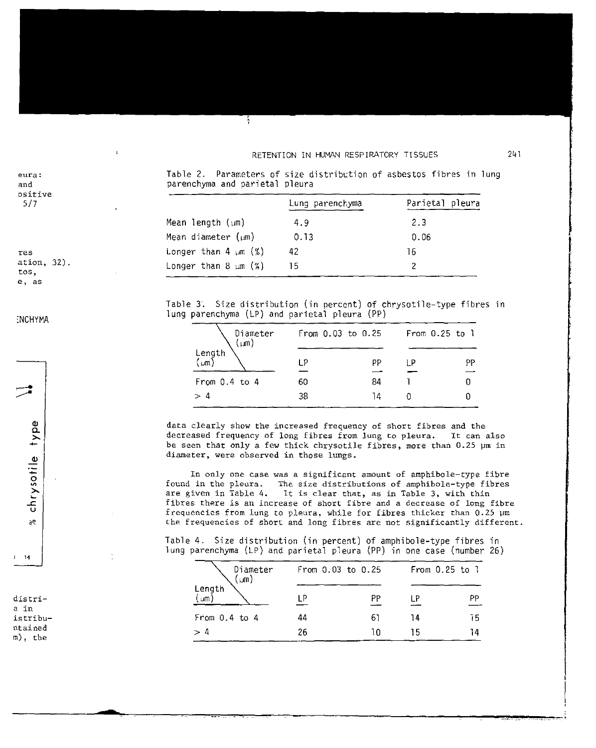eura: and ositive

| res  |            |  |
|------|------------|--|
|      | ation, 32) |  |
| tos, |            |  |
|      |            |  |

e, as

## **INCHYMA**

chrysotile type

 $\mathcal{R}$ 

 $14$ 

distria in istribuntained  $m$ ), the

Table 2. Parameters of size distribution of asbestos fibres in lung parenchyma and parietal pleura

|                           | Lung parenchyma | Parietal pleura |  |  |
|---------------------------|-----------------|-----------------|--|--|
| Mean length $(\mu m)$     | 4.9             | 2.3             |  |  |
| Mean diameter $(\mu m)$   | 0.13            | 0.06            |  |  |
| Longer than 4 $\mu$ m (%) | 42              | 16              |  |  |
| Longer than 8 $\mu$ m (%) | 15.             |                 |  |  |
|                           |                 |                 |  |  |

Table 3. Size distribution (in percent) of chrysotile-type fibres in lung parenchyma (LP) and parietal pleura (PP)

| Diameter<br>$(\mu m)$ |    | From $0.03$ to $0.25$ |    | From $0.25$ to $1$ |
|-----------------------|----|-----------------------|----|--------------------|
| Length<br><b>um</b>   | ΙP | РP                    | ΙP | PP                 |
| From $0.4$ to $4$     | 60 | 84                    |    |                    |
| > 4                   | 38 | ١Δ                    |    |                    |

data clearly show the increased frequency of short fibres and the decreased frequency of long fibres from lung to pleura. It can also be seen that only a few thick chrysotile fibres, more than 0.25 um in diameter, were observed in those lungs.

In only one case was a significant amount of amphibole-type fibre found in the pleura. The size distributions of amphibole-type fibres are given in Table 4. It is clear that, as in Table 3, with thin fibres there is an increase of short fibre and a decrease of long fibre frequencies from lung to pleura, while for fibres thicker than 0.25 um the frequencies of short and long fibres are not significantly different.

Table 4. Size distribution (in percent) of amphibole-type fibres in lung parenchyma (LP) and parietal pleura (PP) in one case (number 26)

| Diameter<br>$(\mu n)$ |    | From $0.03$ to $0.25$ |    | From $0.25$ to $1$ |
|-----------------------|----|-----------------------|----|--------------------|
| Length<br>μm          |    | PP                    |    | РP                 |
| From $0.4$ to $4$     | 44 |                       | 14 | 75                 |
| > 4                   | 26 |                       | 15 | 14                 |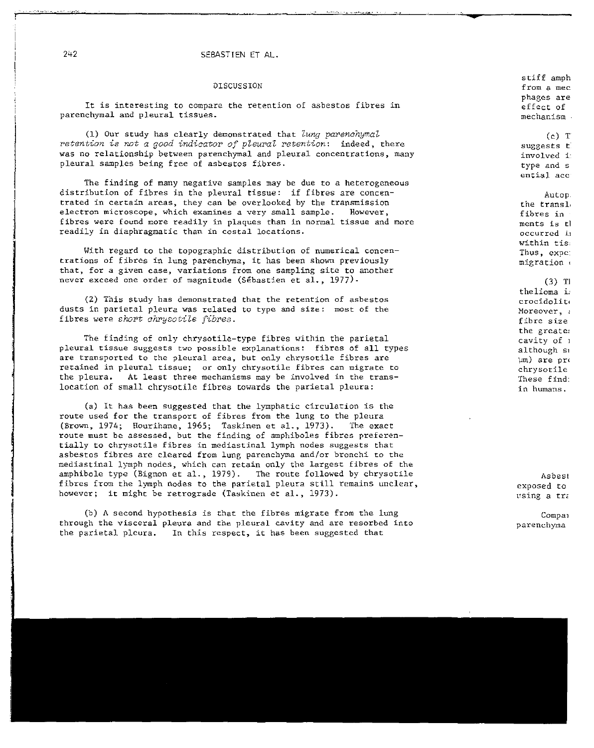# 242 SEBASTIEN ET AL.

#### DISCUSSION

It is interesting to compare the retention of asbestos fibres in parenchymal and pleural tissues.

*(1) OUT* study has clearly demonstrated that *Zung parenchymal retention is not a good indicator of pleural retention:* indeed, there was no relationship between parenchymal and pleural concentrations, many pleural samples being free of asbestos fibres.

The finding of many negative samples may be due to a heterogeneous distribution of fibres in the pleural tissue: if fibres are concentrated in certain areas, they can be overlooked by the transmission<br>electron microscone, which examines a very small sample. However, electron microscope, which examines a very small sample. fibres were found more readily in plaques than in normal tissue and more readily in diaphragmatic than in costal locations.

With regard to the topographic distribution of numerical concentrations of fibres in lung parenchyma, it has been shown previously that, for a given case, variations from one sampling site to another never exceed one order of magnitude (Sebastien et al., 1977)·

(2) This study has demonstrated that the retention of asbestos dusts in parietal pleura was related to type and size: most of the fibres were *short chrysotile fibres*.

The finding of only chrysotile-type fibres within the parietal pleural tissue suggests two possible explanations: fibres of all types are transported to the pleural area, but only chrysotile fibres are retained in pleural tissue; or only chrysotile fibres can migrate to the pleura. At least three mechanisms may be involved in the translocation of small chrysotile fibres towards the parietal pleura:

(a) It has been suggested that the lymphatic circulation is the route used for the transport of fibres from the lung to the pleura (Brown, 1974; Hourihane, 1965; Taskinen et al., 1973). The exact route must be assessed, but the finding of amphiboles fibres preferentially to chrysotile fibres in mediastinal lymph nodes suggests that asbestos fibres are cleared from lung parenchyma and/or bronchi to the mediastinal lymph nodes, which can retain only the largest fibres of the amphibole type (Bignon et al., 1979). The route followed by chrysotile fibres from the lymph nodes to the parietal pleura still remains unclear, however; it might be retrograde (Taskinen et al., 1973).

(b) A second hypothesis is that the fibres migrate from the lung through the visceral pleura and the pleural cavity and are resorbed into the parietal pleura. In this respect, it has been suggested that

stiff amph from a mec phages are effect of mechanism

 $(c)$  T suggests <sup>t</sup>

involved i: type and s ential ace

Autop the transl, fibres in ments is tl occurred il within tis: Thus, expc; migration <sup>&</sup>lt; (3) TI

thelioma i: crocidolit( Moreover, : fibre size the greate: cavity of 1 although si  $\text{Im}$ ) are pro chrysotile These find: in humans.

Asbest exposed to using a tra

Compai parenchyma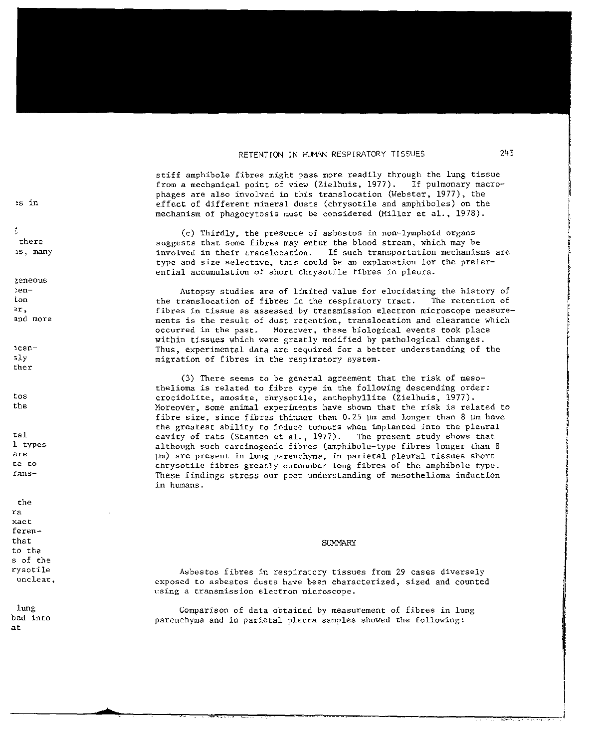stiff amphibole fibres might pass more readily through the lung tissue from a mechanical noint of view (Zielbuis, 1977). If pulmonary macrophages are also involved in this translocation (Webster, 1977), the effect of different mineral dusts (chrysotile and amphiboles) on the mechanism of phagocytosis must be considered (Miller et al., 1978).

(c) Thirdly, the presence of asbestos in non-lymphoid organs suggests that some fibres may enter the blood stream, which may be involved in their translocation. If such transportation mechanisms are type and size selective, this could be an explanation for the preferential accumulation of short chrysotile fibres in pleura.

Autopsy studies are of limited value for elucidating the history of the translocation of fibres in the respiratory tract. The retention of fibres in tissue as assessed by transmission electron microscope measurements is the result of dust retention, translocation and clearance which Moreover, these biological events took place occurred in the past. within tissues which were greatly modified by pathological changes. Thus, experimental data are required for a better understanding of the migration of fibres in the respiratory system.

(3) There seems to be general agreement that the risk of mesothelioma is related to fibre type in the following descending order: crocidolite, amosite, chrysotile, anthophyllite (Zielhuis, 1977). Moreover, some animal experiments have shown that the risk is related to fibre size, since fibres thinner than 0.25  $\mu$ m and longer than 8  $\mu$ m have the greatest ability to induce tumours when implanted into the pleural cavity of rats (Stanton et al., 1977). The present study shows that although such carcinogenic fibres (amphibole-type fibres longer than 8 µm) are present in lung parenchyma, in parietal pleural tissues short chrysotile fibres greatly outnumber long fibres of the amphibole type. These findings stress our poor understanding of mesothelioma induction in humans.

#### **SUMMARY**

Asbestos fibres in respiratory tissues from 29 cases diversely exposed to asbestos dusts have been characterized, sized and counted using a transmission electron microscope.

Comparison of data obtained by measurement of fibres in lung parenchyma and in parietal pleura samples showed the following:

es in

 $\mathcal{I}$ there 15, many

zeneous  $2en$  $ion$ er. and more

 $ncen 51v$ ther

tos the

tal. 1 types are te to  $rans-$ 

the ra xact. ferenthat to the s of the rysotile unclear.

lung bed into at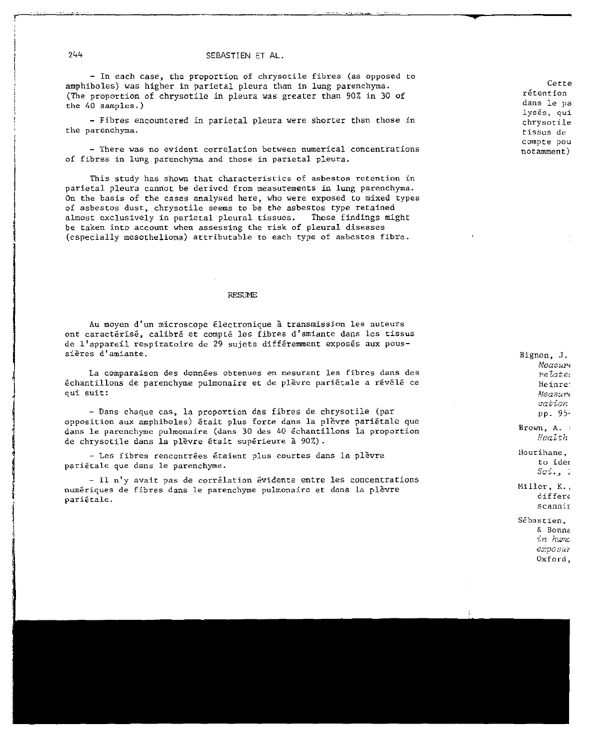- In each case, the proportion of chrysocile fibres (as opposed to amphiboles) was higher in parietal pleura than in lung parenchyma. (The proportion of chrysotile in pleura was greater than 90% in 30 of the 40 samples.)

- Fibres encountered in parietal pleura were shorter than those in the parenchyma.

- There was no evident correlation between numerical concentrations of fibres in lung parenchyma and those in parietal pleura.

This study has shown that characteristics of asbestos retention in parietal pleura cannot be derived from measurements in lung parenchyma. On the basis of the cases analysed here, who were exposed to mixed types of asbestos dust, chrysotile seems to be the asbestos type retained almost exclusively in parietal pleural tissues. These findings might be taken into account when assessing the risk of pleural diseases (especially mesothelioma) attributable to each type of asbestos fibre.

#### **RESUME**

Au moyen d'un microscope €lectronique a transmission les auteurs ont caractérisé, calibré et compté les fibres d'amiante dans les tissus de l'appareil respiratoire de 29 sujets différemment exposés aux poussieres d'amiante.

La comparaison des données obtenues en mesurant les fibres dans des echantillons de parenchyme pulmonaire et de plevre parietale a revele ce qui suit:

- Dans chaque cas, 1a proportion des fibres de chrysotile (par opposition aux amphiboles) était plus forte dans la plèvre pariétale que dans Ie parenchyme pulmonaire (dans 30 des 40 echantillons la proportion de chrysotile dans la plèvre était supérieure à 90%).

- Les fibres rencontrées étaient plus courtes dans la plèvre parietale que dans Ie parenchyme.

- Il n'y avait pas de corrélation évidente entre les concentrations numeriques de fibres dans Ie parenchyme pulmonaire et dans 1a p1evre pari€tale.

Cette retention dans Ie pa lyses, qui chrysotile tissus de compte pOu notamment)

Bignon, J. Measur<sub>e</sub> relate: Heinre<sup>.</sup>  $Meas$ u $\nu$ *cation*  pp. 95·

Brown, A. *Health* 

Hourihane. to ider  $Sc1, 4$ 

Miller, K., differe scannir

Sebastien,  $&$  Bonna *in fI'.AJTICexposul*  Oxford,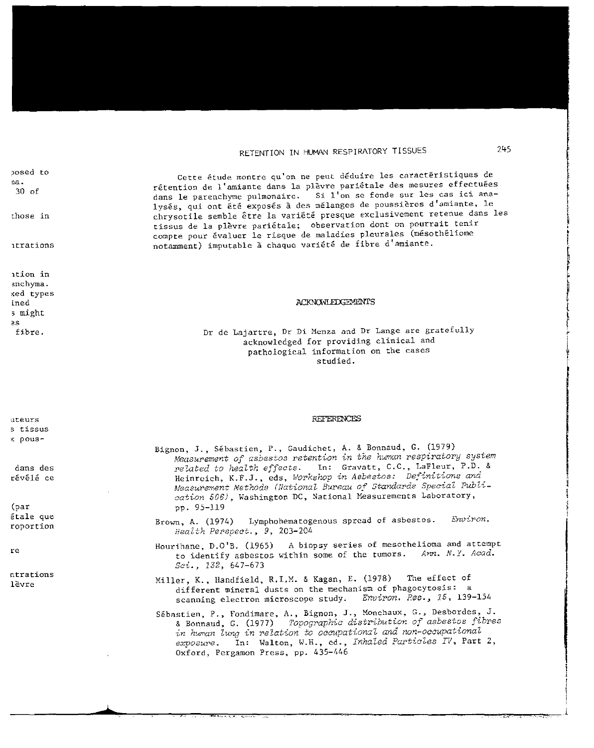# RETENTION IN HUMAN RESPIRATORY TISSUES

posed to  $na.$  $30<sub>0</sub>$ 

those in

itrations

ation in enchyma. ked types ined s might  $\geq$ fibre.

Cette étude montre qu'on ne peut déduire les caractéristiques de rétention de l'amiante dans la plèvre pariétale des mesures effectuées dans le parenchyme pulmonaire. Si l'on se fonde sur les cas ici analysés, qui ont été exposés à des mélanges de poussières d'amiante, le chrysotile semble être la variété presque exclusivement retenue dans les tissus de la plèvre pariétale; observation dont on pourrait tenir compte pour évaluer le risque de maladies pleurales (mésothéliome notamment) imputable à chaque variété de fibre d'amiante.

#### **ACKNOWLEDGEMENTS**

Dr de Lajartre, Dr Di Menza and Dr Lange are gratefully acknowledged for providing clinical and pathological information on the cases studied.

#### **REFERENCES**

- Bignon, J., Sébastien, P., Gaudichet, A. & Bonnaud, G. (1979) Measurement of asbestos retention in the human respiratory system related to health effects. In: Gravatt, C.C., LaFleur, P.D. & Heinreich, K.F.J., eds, Workshop in Asbestos: Definitions and Measurement Methods (National Bureau of Standards Special Publication 506), Washington DC, National Measurements Laboratory, pp. 95-119
- Brown, A. (1974) Lymphohematogenous spread of asbestos. Environ. Health Perspect., 9, 203-204
- Hourihane, D.O'B. (1965) A biopsy series of mesothelioma and attempt to identify asbestos within some of the tumors. Ann. N.Y. Acad.  $Sci.$ , 132, 647-673
- Miller, K., Handfield, R.I.M. & Kagan, E. (1978) The effect of different mineral dusts on the mechanism of phagocytosis: a Environ. Res., 15, 139-154 scanning electron microscope study.
- Sébastien, P., Fondimare, A., Bignon, J., Monchaux, G., Desbordes, J. & Bonnaud, G. (1977) Topographic distribution of asbestos fibres in human lung in relation to occupational and non-occupational exposure. In: Walton, W.H., ed., Inhaled Particles IV, Part 2, Oxford, Pergamon Press, pp. 435-446

nteurs s tissus x pous-

dans des révélé ce

 $(par)$ étale que roportion

re

ntrations lèvre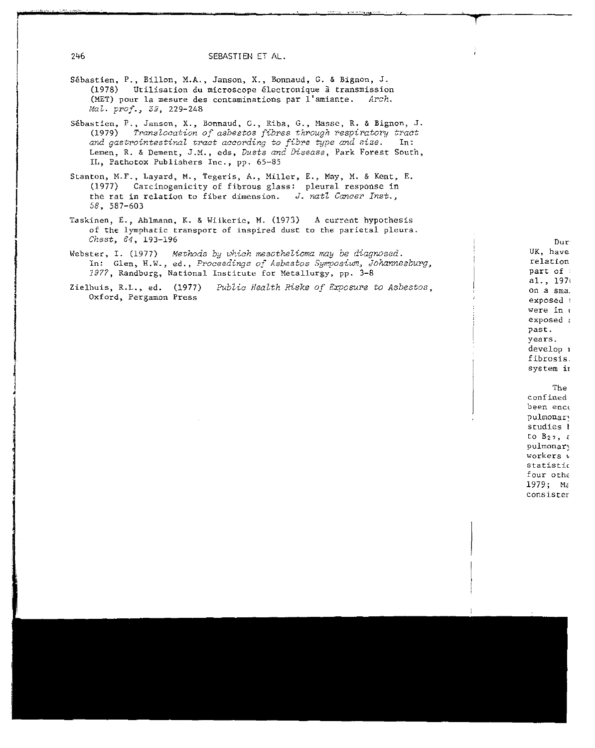- Sébastien, P., Billon, M.A., Janson, X., Bonnaud, G. & Bignon, J. (1978) Utilisation du microscope électronique à transmission (MET) pour la mesure des contaminations par l'amiante. Arch. Mal. prof., 39, 229-248
- Sébastien, P., Janson, X., Bonnaud, G., Riba, G., Masse, R. & Bignon, J. Translocation of asbestos fibres through respiratory tract  $(1979)$ and gastrointestinal tract according to fibre type and size.  $In:$ Lemen, R. & Dement, J.M., eds, Dusts and Disease, Park Forest South, IL, Pathotox Publishers Inc., pp. 65-85
- Stanton, M.F., Layard, M., Tegeris, A., Miller, E., May, M. & Kent, E. (1977) Carcinogenicity of fibrous glass: pleural response in the rat in relation to fiber dimension. J. natl Cancer Inst.,  $58, 587 - 603$
- Taskinen, E., Ahlmann, K. & Wiikerie, M. (1973) A current hypothesis of the lymphatic transport of inspired dust to the parietal pleura.  $Check, 64, 193-196$
- Webster, I. (1977) Methods by which mescthelioma may be diagnosed. In: Glen, H.W., ed., Proceedings of Asbestos Symposium, Johannesburg, 1977, Randburg, National Institute for Metallurgy, pp. 3-8
- Public Health Risks of Exposure to Asbestos, Zielhuis, R.L., ed. (1977) Oxford, Pergamon Press

Dur: UK, have relation part of  $a1., 1970$ on a sma. exposed + were in a exposed a past. years. develop 1 fibrosis. system in The confined been ence pulmonary studies ł  $\mathfrak{c}_0$   $\mathfrak{g}_{27}$ ,  $\epsilon$ pulmonary workers v statistic four othe 1979; Ma consister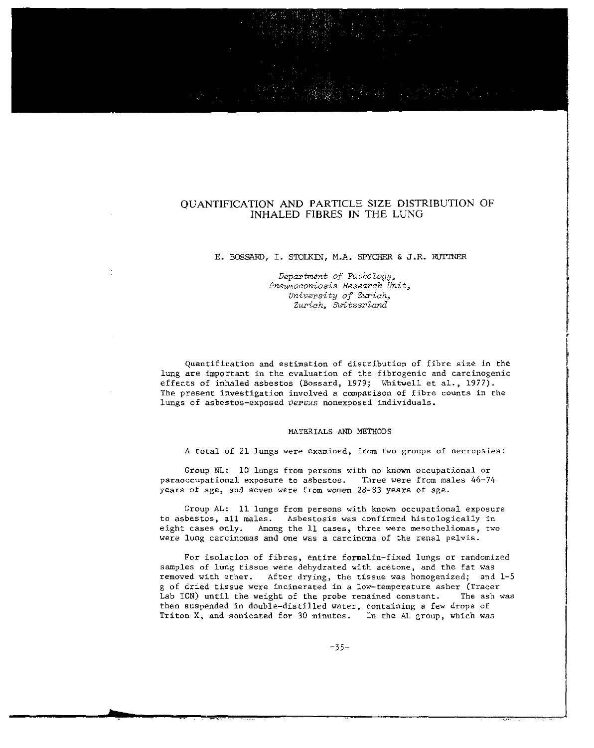# QUANTIFICATION AND PARTICLE SIZE DISTRIBUTION OF INHALED FIBRES IN THE LUNG

#### E. BOSSARD, 1. STOLKIN, M.A. SPYCHER & J.R. RiJITNER

*Department of Pathology,*  Pneumoconiosis Research Unit. *University of* Zuriah~ *Zuy·ich, Switzerland* 

Quantification and estimation of distribution of fibre size in the lung are important in the evaluation of the fibrogenic and carcinogenic effects of inhaled asbestos (Bossard, 1979; Whitwell et al., 1977). The present investigation involved a comparison of fibre counts in the lungs of asbestos-exposed *versus* nonexposed individuals.

### MATERIALS AND METHODS

A total of 21 lungs were examined, from two groups of necropsies:

Group NL: 10 lungs from persons with no known occupational or paraoccupational exposure to asbestos. Three were from males 46-74 years of age, and seven were from women 28-83 years of age.

Group AL: 11 lungs from persons with known occupational exposure to asbestos, all males. Asbestosis was confirmed histologically in eight cases only. Among the 11 cases, three were mesotheliomas, two were lung carcinomas and one was a carcinoma of the renal pelvis.

For isolation of fibres, entire formalin-fixed lungs or randomized samples of lung tissue were dehydrated with acetone, and the fat was removed with ether. After drying, the tissue was homogenized; and 1-5 g of dried tissue were incinerated in a low-temperature asher (Tracer Lab ICN) until the weight of the probe remained constant. The ash was then suspended in double-distilled water, containing a few drops of Triton X, and sonicated for 30 minutes. In the AL group, which was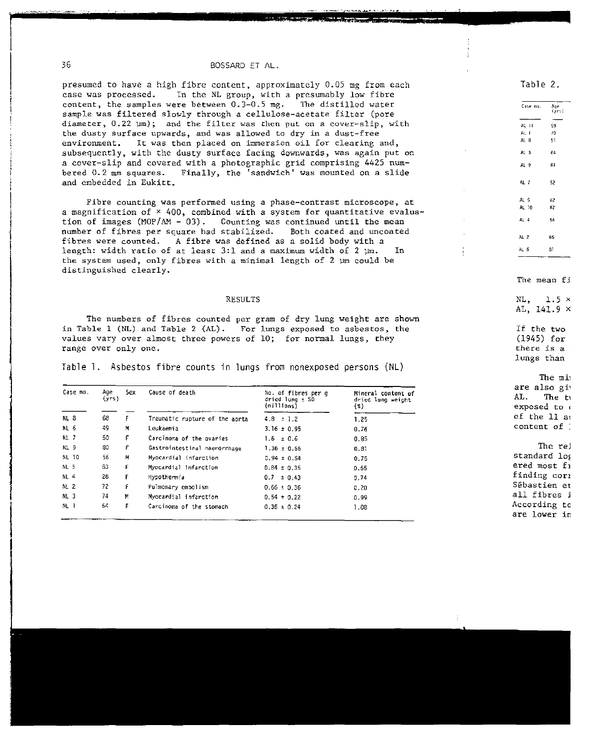## BOSSARD ET AL.

presumed to have a high fibre content, approximately 0.05 mg from each In the NL group, with a presumably low fibre case was processed. content, the samples were between 0.3-0.5 mg. The distilled water sample was filtered slowly through a cellulose-acetate filter (pore diameter, 0.22 um); and the filter was then put on a cover-slip, with the dusty surface upwards, and was allowed to dry in a dust-free It was then placed on immersion oil for clearing and, environment. subsequently, with the dusty surface facing downwards, was again put on a cover-slip and covered with a photographic grid comprising 4425 numbered 0.2 mm squares. Finally, the 'sandwich' was mounted on a slide and embedded in Eukitt.

Fibre counting was performed using a phase-contrast microscope, at a magnification of × 400, combined with a system for quantitative evaluation of images (MOP/AM - 03). Counting was continued until the mean number of fibres per square had stabilized. Both coated and uncoated fibres were counted. A fibre was defined as a solid body with a length: width ratio of at least 3:1 and a maximum width of 2 µm. In the system used, only fibres with a minimal length of 2  $\mu$ m could be distinguished clearly.

#### **RESULTS**

The numbers of fibres counted per gram of dry lung weight are shown in Table 1 (NL) and Table 2 (AL). For lungs exposed to asbestos, the values vary over almost three powers of 10; for normal lungs, they range over only one.

Table 1. Asbestos fibre counts in lungs from nonexposed persons (NL)

| Case no.        | Age<br>(yrs) | Sex. | Cause of death                 | No. of fibres per q<br>dried $l$ ung $\pm$ SD<br>(minions) | Mineral content of<br>dried lung weight<br>(2) |
|-----------------|--------------|------|--------------------------------|------------------------------------------------------------|------------------------------------------------|
| NL 8            | 68           | F.   | Traumatic rupture of the aorta | $4.8 \pm 1.2$                                              | 1.25                                           |
| NL <sub>6</sub> | 49           | м    | Leukaemia                      | $3.16 \pm 0.95$                                            | 0.76                                           |
| <b>NL 7</b>     | 50           | F    | Carcinoma of the ovaries       | $1.6 \pm 0.6$                                              | 0.85                                           |
| NL 9            | 80           | F    | Gastrointestinal haemorrhage   | $1.36 \pm 0.56$                                            | 0.81                                           |
| NL 10           | 56           | м    | Myocardial infarction          | $0.94 \pm 0.54$                                            | 0.75                                           |
| NL 5            | 83           | F    | Myocardial infarction          | $0.84 \pm 0.35$                                            | 0.55                                           |
| <b>NL 4</b>     | 28           | F    | Hypothermia                    | $0.7 \pm 0.43$                                             | 0.74                                           |
| NL <sub>2</sub> | 72           | F    | Pulmonary embolism             | $0.66 \pm 0.36$                                            | 0.20                                           |
| NL <sub>3</sub> | 74           | М    | Myocardial infarction          | $0.54 \pm 0.22$                                            | 0.99                                           |
| NL 1            | 64           | Е    | Carcinoma of the stomach       | $0.36 \pm 0.24$                                            | 1.08                                           |

Table 2.

Case no.

| $AL-11$         | -59                                      |
|-----------------|------------------------------------------|
| AL              | 70                                       |
| $AL_8$          | -51                                      |
| AL <sub>3</sub> | 64                                       |
| AL <sub>9</sub> | -61                                      |
| AL 7            | -52                                      |
| AL 5            | - 62                                     |
| AL 10           | 62                                       |
| AL 4            | 56                                       |
| AL 2            | 65                                       |
| AL <sub>6</sub> | 81                                       |
|                 | The mean fi                              |
|                 | NL, $1.5 \times$                         |
|                 | AL, $141.9 \times$                       |
|                 | If the two<br>$(1945)$ for<br>there is a |

The min are also giv AL. The ty exposed to a of the 11 as content of :

lungs than

The rel standard log ered most fi finding cori Sébastien et all fibres i According to are lower in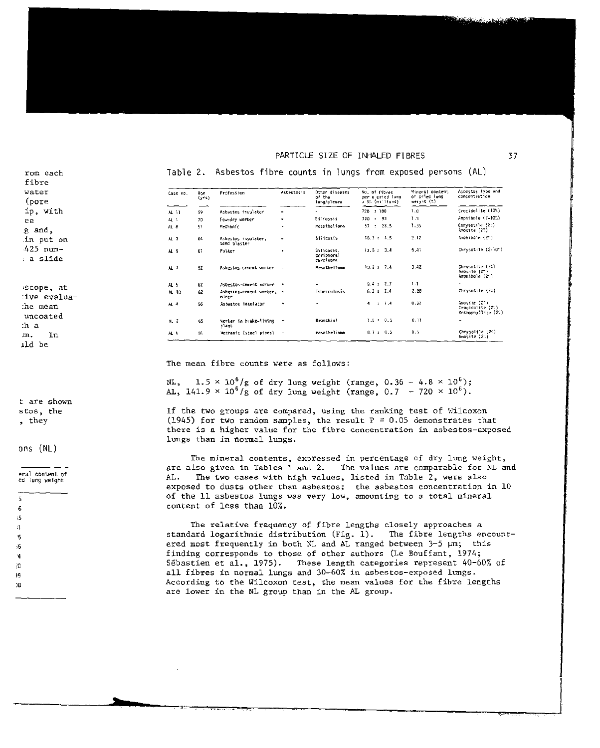| rom each<br>fibre          |                 |              | Table 2. Asbestos fibre counts in lungs from exposed persons |            |                                         |                                                      |                                                | (AL)                                                   |
|----------------------------|-----------------|--------------|--------------------------------------------------------------|------------|-----------------------------------------|------------------------------------------------------|------------------------------------------------|--------------------------------------------------------|
| water<br>(pore             | Case no.        | Age<br>(yrs) | Profession                                                   | Asbestosis | Other diseases<br>of the<br>lung/pleura | No. of fibres<br>ner a cried lung<br>2 SD (millions) | Mineral content<br>of dried lung<br>weight (%) | Aspestos type and<br>concentration                     |
| ip, with                   | AL 11           | 59.          | Asbestos insulator                                           |            |                                         | $720 \pm 180$                                        | 1.0                                            | Crocidolite (10%)                                      |
| ee.                        | AL <sub>1</sub> | 70           | Foundry worker                                               | ٠          | Silicosts                               | 720 : 93                                             | 1.3                                            | Amphibole (2-10%)                                      |
| g and,                     | AL <sub>8</sub> | 51           | Mechanic                                                     | ÷.         | Mesotheliona                            | $57 \pm 23.5$                                        | 1.35                                           | Chrysotile (22)<br>Amosite (2%)                        |
| in put on                  | AL <sub>3</sub> | 64           | Asbestos insulator.<br>sand blaster                          | ٠          | Stilcosis                               | $18.3 + 4.5$                                         | 2.12                                           | Amphibole (2")                                         |
| 425 num−<br>: a slide      | AL 9            | 61           | Potter                                                       | $\bullet$  | Silicosis.<br>opricheral<br>carcinoma.  | $13.8 - 3.4$                                         | 5.41                                           | Chrysotile (2-10")                                     |
|                            | AL <sub>7</sub> | 52           | Asbestos-cement worker -                                     |            | Mesolhellona                            | $10.2 + 7.4$                                         | 3.42                                           | Chrysotile (25)<br>Amosite (2")<br>Amphibole (25)      |
|                            | AL <sub>5</sub> | 62           | Asbestos-cement worker +                                     |            |                                         | $9.4 \pm 7.7$                                        | 1.1                                            |                                                        |
| iscope, at<br>:ive evalua- | AL 10           | 62           | Asbestos-cement worker, +<br>miner.                          |            | Tuberculosis                            | $6.3 \pm 2.4$                                        | 2.88                                           | Chrysotile (25)                                        |
| he mean:<br>uncoated       | AL 4            | 56           | Asbestos insulator                                           | $\bullet$  |                                         | $4 \pm 1.4$                                          | 0.32                                           | Amosite (20)<br>Crocidatite (2%)<br>Anthophyllite (2%) |
| :h a                       | AL <sub>2</sub> | 65           | Worker in brake-liming<br>plant                              | ٠          | Bronchial                               | $1.6 \pm 0.5$                                        | 0.11                                           | ٠                                                      |
| Ιn<br>m.                   | $A$ , $b$       | 81           | Mechanic (steel pipes)                                       | $\sim$     | Mesothel one                            | 0.7 : 0.5                                            | 0.5                                            | Chrysotile (24)<br>Ambsite (20)                        |
| ild be                     |                 |              |                                                              |            |                                         |                                                      |                                                |                                                        |

t are shown stos, the

, they

ons (NL)

eral content of

ed lung weight

5

6  $,5$ 

 $\mathfrak{g}$ 

15

ÿ5

 $\ddot{4}$ 

30

19

)Β

The mean fibre counts were as follows:

NL,  $1.5 \times 10^6/g$  of dry lung weight (range, 0.36 - 4.8  $\times 10^6$ );<br>AL, 141.9  $\times 10^6/g$  of dry lung weight (range, 0.7 - 720  $\times 10^6$ ).

If the two groups are compared, using the ranking test of Wilcoxon (1945) for two random samples, the result  $P = 0.05$  demonstrates that there is a higher value for the fibre concentration in asbestos-exposed lungs than in normal lungs.

The mineral contents, expressed in percentage of dry lung weight, are also given in Tables 1 and 2. The values are comparable for NL and The two cases with high values, listed in Table 2, were also AL. exposed to dusts other than asbestos; the asbestos concentration in 10 of the 11 asbestos lungs was very low, amounting to a total mineral content of less than 10%.

The relative frequency of fibre lengths closely approaches a standard logarithmic distribution (Fig. 1). The fibre lengths encountered most frequently in both NL and AL ranged between  $3-5$   $\mu$ m; this finding corresponds to those of other authors (Le Bouffant, 1974; Sébastien et al., 1975). These length categories represent 40-60% of all fibres in normal lungs and 30-60% in asbestos-exposed lungs. According to the Wilcoxon test, the mean values for the fibre lengths are lower in the NL group than in the AL group.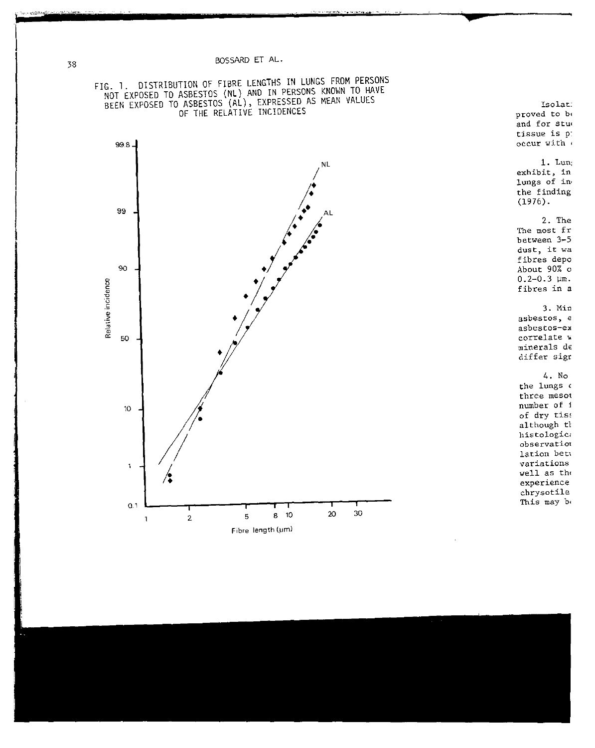

 $1.$  Lun: exhibit, in lungs of in the finding  $(1976).$ 2. The The most fr between 3-5 dust, it wa fibres depo About 90% o  $0.2 - 0.3$   $\mu$ m. fibres in a 3. Min asbestos, e asbestos-ex correlate w minerals de differ sign  $4. No$ the lungs o three mesot number of i of dry tiss although th histologica observation lation bety variations well as the experience chrysotile This may be

Isolat:

proved to be and for stud tissue is p: occur with



Relative incidence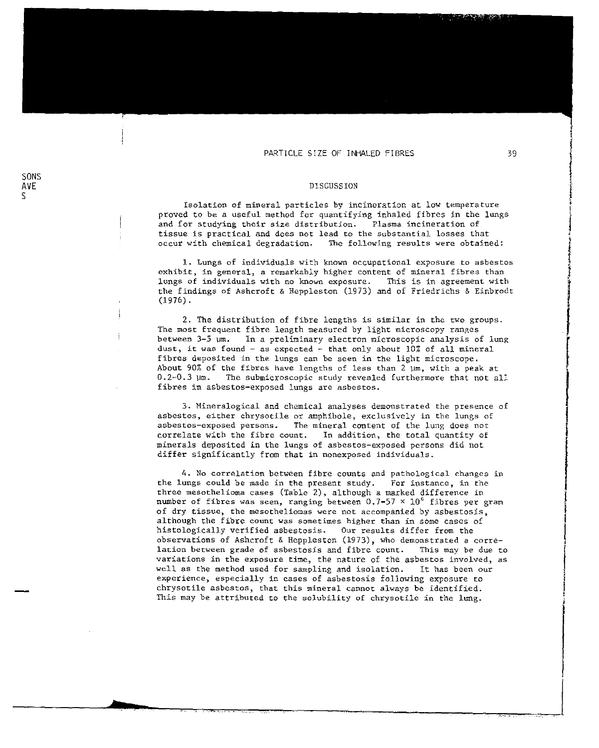#### DISCUSSION

SONS AVE S

ł

Isolation of mineral particles by incineration at low temperature proved to be a useful method for quantifying inhaled fibres in the lungs<br>and for studying their size distribution. Plasma incineration of and for studying their size distribution. tissue is practical and does not lead to the substantial losses that<br>occur with chemical degradation. The following results were obtaine The following results were obtained:

1. Lungs of individuals with known occupational exposure to asbestos exhibit, in general, a remarkably higher content of mineral fibres than lungs of individuals with no known exposure. This is in agreement with the findings of Ashcroft & Heppleston (1973) and of Friedrichs & Einbrodt (1976).

2. The distribution of fibre lengths is Similar in the two groups. The most frequent fibre length measured by light microscopy ranges between 3-5 vm. In a preltminary electron microscopic analysis of lung dust, it was found - as expected - that only about 10% of all mineral fibres deposited in the lungs can be seen in the light microscope. About 90% of the fibres have lengths of less than 2  $\mu$ m, with a peak at 0.2-0.3  $\mu$ m. The submicroscopic study revealed furthermore that not all The submicroscopic study revealed furthermore that not all fibres in asbestos-exposed lungs are asbestos.

3. Mineralogical and chemical analyses demonstrated the presence of asbestos, either chrysotile or amphibole, exclusively in the lungs of<br>asbestos-exposed persons. The mineral content of the lung does not The mineral content of the lung does not correlate with the fibre count. In addition, the total quantity of minerals depOSited in the lungs of asbestos-exposed persons did not differ Significantly from that in nonexposed individuals.

4. No correlation between fibre counts and pathological changes in the lungs could be made in the present study. For instance, in the three mesothelioma cases (Table 2), although a marked difference in number of fibres was seen, ranging between  $0.7$ -57  $\times$   $10^6$  fibres per gram of dry tissue, the mesotheliomas were not accompanied by asbestosis, although the fibre count was sometimes higher than in some cases of histologically verified asbestosis. Our results differ from the observations of Ashcroft & Heppleston (1973), who demonstrated a correlation between grade of asbestosis and fibre count. This may be due to variations in the exposure time, the nature of the asbestos involved, as well as the method used for sampling and isolation. It has been our experience, especially in cases of asbestosis following exposure to chrysotile asbestos, that this mineral cannot always be identified. This may be attributed to the solubility of chrysotile in the lung.

farmer.<br>K

e<br>Professor de la Carlo Barcolo (Para la Carlo Barcolo)<br>Professor de la Carlo Barcolo (Para la Carlo Barcolo)